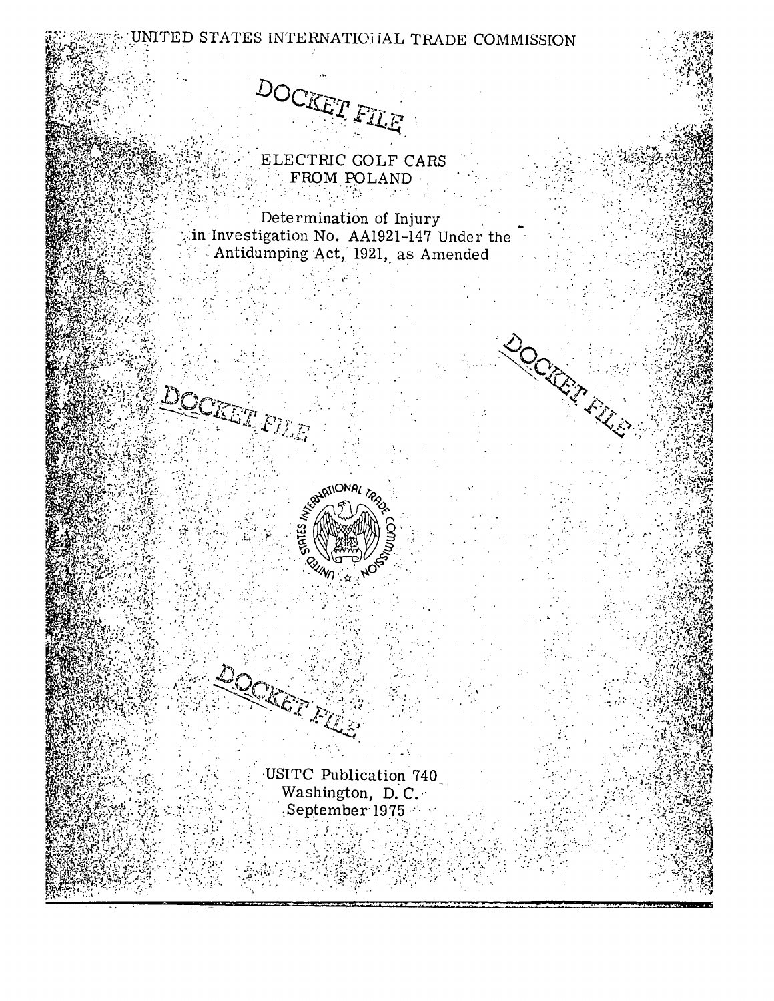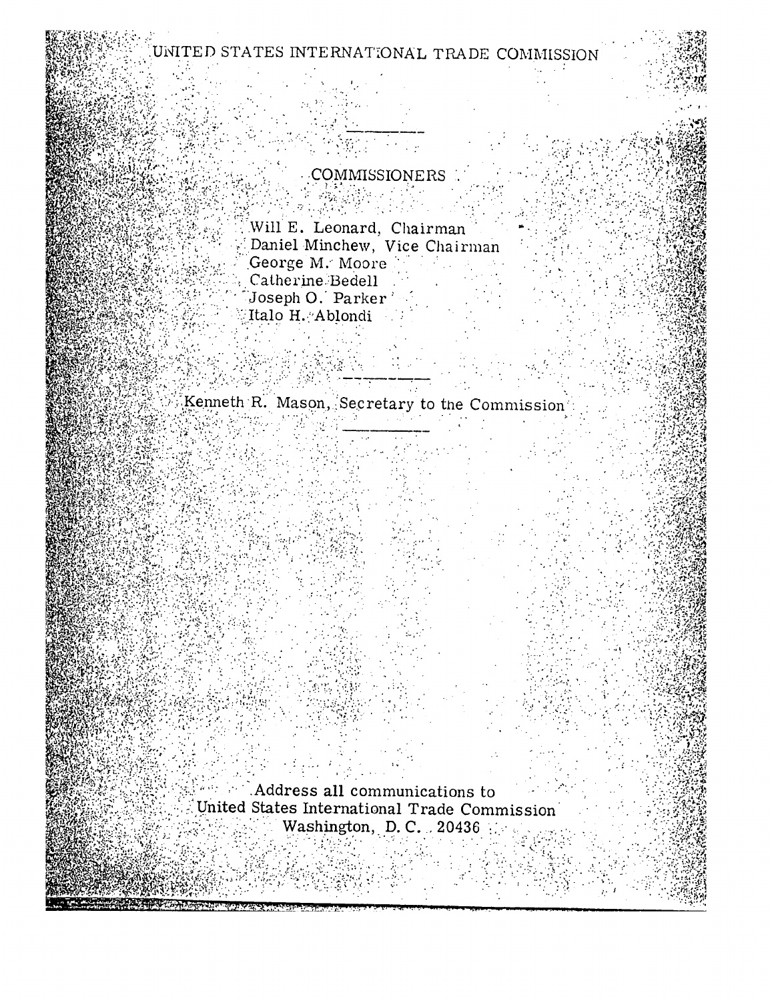# UNITED STATES INTERNATIONAL TRADE COMMISSION

# COMMISSIONERS

Will E. Leonard, Chairman Daniel Minchew, Vice Chairman Conge M. Moore<br>Catherine Bedell<br>Joseph O George M. Moore Mag Joseph O. Parker' Italo H. Ablondi

Kenneth R. Mason, Secretary to the Commission  $\label{eq:2} \frac{1}{\sqrt{2\pi}}\sum_{i=1}^N\frac{1}{\sqrt{2\pi}}\sum_{i=1}^N\frac{1}{\sqrt{2\pi}}\sum_{i=1}^N\frac{1}{\sqrt{2\pi}}\sum_{i=1}^N\frac{1}{\sqrt{2\pi}}\sum_{i=1}^N\frac{1}{\sqrt{2\pi}}\sum_{i=1}^N\frac{1}{\sqrt{2\pi}}\sum_{i=1}^N\frac{1}{\sqrt{2\pi}}\sum_{i=1}^N\frac{1}{\sqrt{2\pi}}\sum_{i=1}^N\frac{1}{\sqrt{2\pi}}\sum_{i=1}^N\frac{$ 

a sa S

Address all communications to United States International Trade Commission Washington, D.C. 20436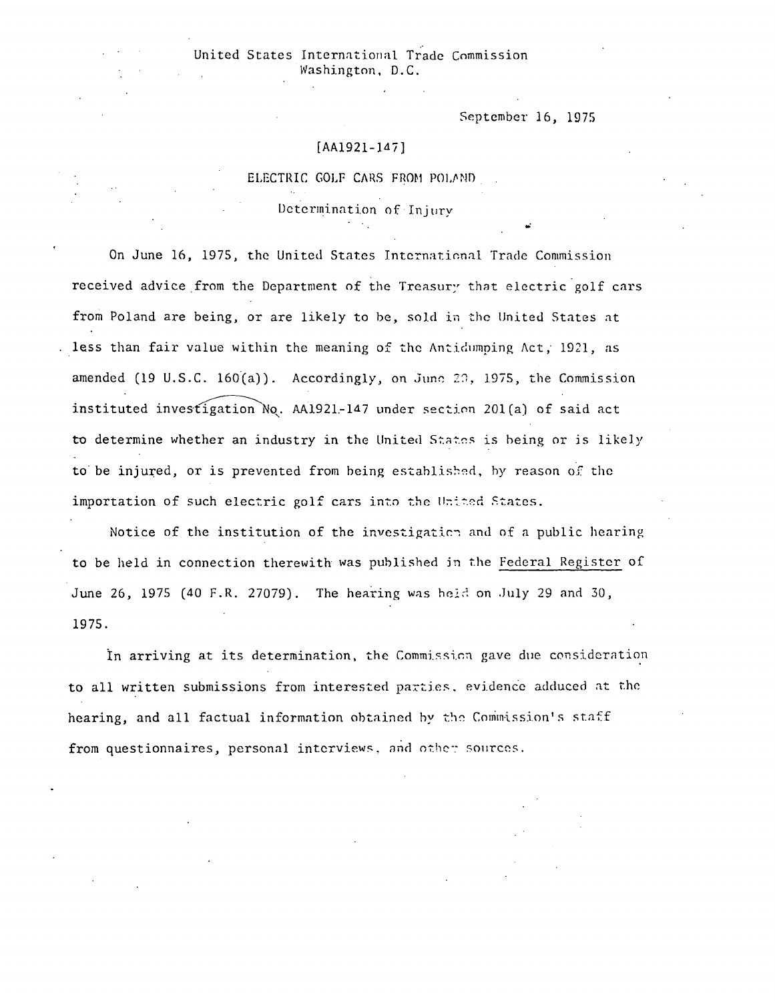September 16, 1975

## $[AA1921-147]$

ELECTRIC GOLF CARS FROM POLAND

Determination of Injury

On June 16, 1975, the United States International Trade Commission received advice from the Department of the Treasury that electric golf cars from Poland are being, or are likely to be, sold in the United States at less than fair value within the meaning of the Antidumping Act, 1921, as amended (19 U.S.C. 160(a)). Accordingly, on June 29, 1975, the Commission instituted investigation No. AA1921-147 under section 201(a) of said act to determine whether an industry in the United States is being or is likely to be injured, or is prevented from being established, by reason of the importation of such electric golf cars into the United States.

Notice of the institution of the investigation and of a public hearing to be held in connection therewith was published in the Federal Register of June 26, 1975 (40 F.R. 27079). The hearing was held on July 29 and 30, 1975.

In arriving at its determination, the Commission gave due consideration to all written submissions from interested parties, evidence adduced at the hearing, and all factual information obtained by the Commission's staff from questionnaires, personal interviews, and other sources.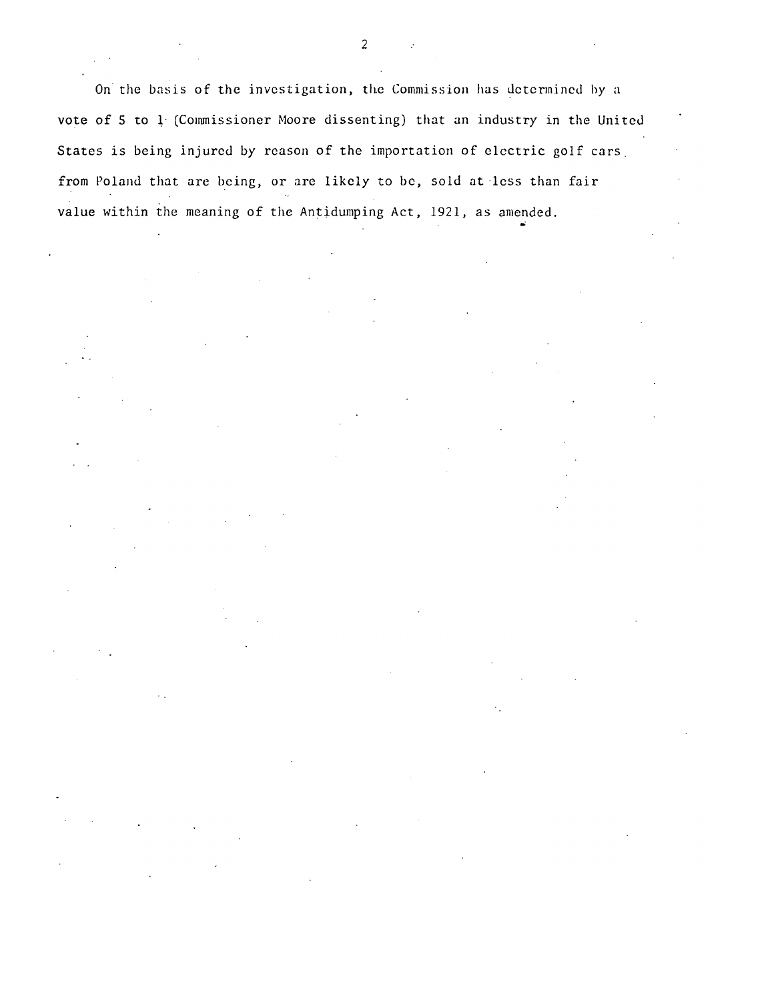On the basis of the investigation, the Commission has determined by a vote of 5 to 1 (Commissioner Moore dissenting) that an industry in the United States is being injured by reason of the importation of electric golf cars. from Poland that are being, or are likely to be, sold at less than fair value within the meaning of the Antidumping Act, 1921, as amended.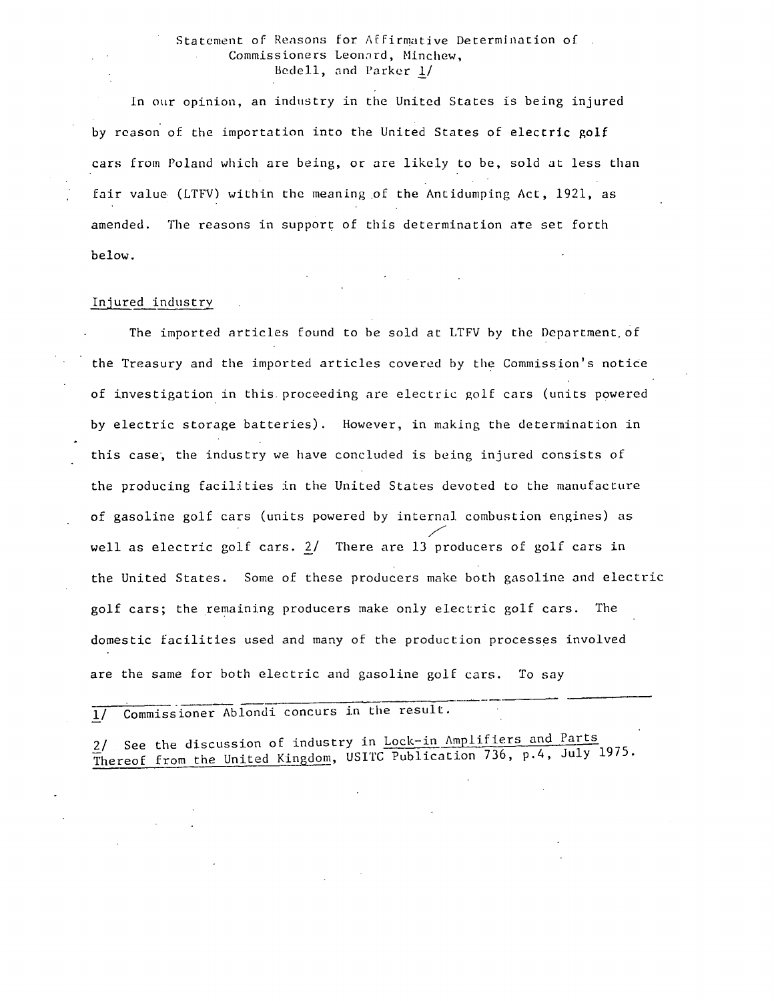### Statement of Reasons for Affirmative Determination of . Commissioners Leonard, Minchew, Bedell, and Parker !/

In our opinion, an industry in the United States is being injured by reason of the importation into the United States of electric golf cars from Poland which are being, or are likely to be, sold at less than fair value (LTFV) within the meaning of the Antidumping Act, 1921, as amended. The reasons in support of this determination ate set forth below.

#### Injured industry

The imported articles found to be sold at LTFV by the Department.of the Treasury and the imported articles covered by the Commission's notice of investigation in this. proceeding are electric golf cars (units powered by electric storage batteries). However, in making the determination in this case, the industry we have concluded is being injured consists of the producing facilities in the United States devoted to the manufacture of gasoline golf cars (units powered by internal combustion engines) as / well as electric golf cars.  $2/$  There are  $13$  producers of golf cars in the United States. Some of these producers make both gasoline and electric golf cars; the remaining producers make only electric golf cars. The domestic facilities used and many of the production processes involved are the same for both electric and gasoline golf cars. To say

 $\overline{1/2}$  Commissioner Ablondi concurs in the result.

2/ See the discussion of industry in Lock-in Amplifiers and Parts Thereof from the United Kingdom, USITC Publication 736, p.4, July 1975.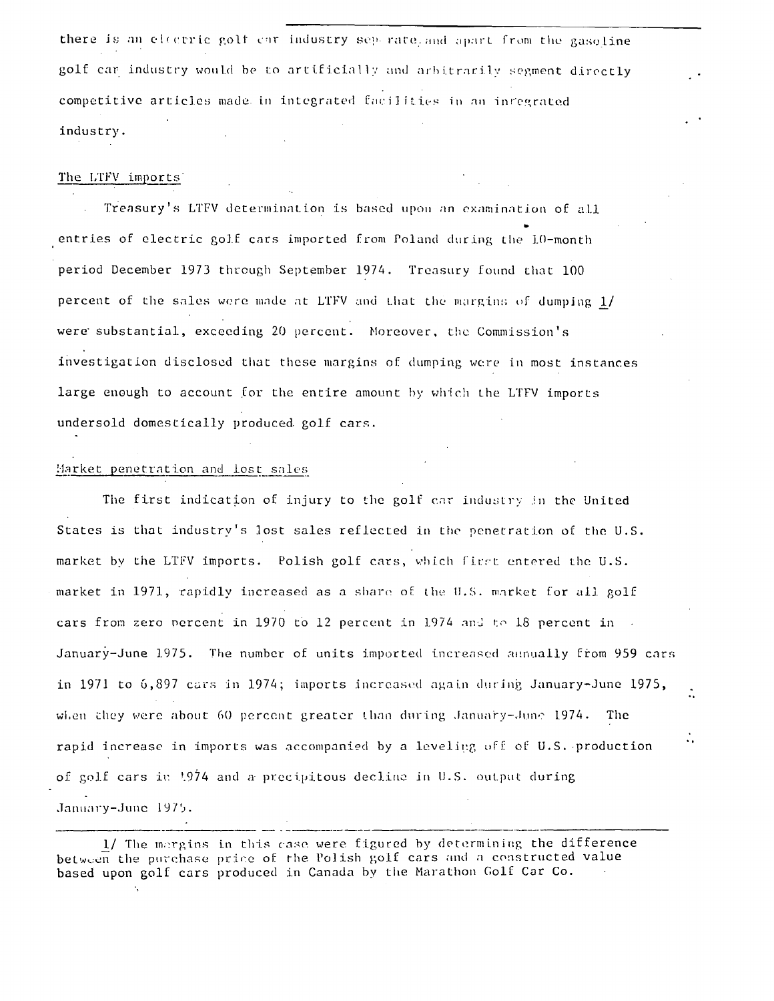there is an electric golf car industry separate, and apart from the gasoline golf car industry would be to artificially and arbitrarily segment directly competitive articles made in integrated facilities in an inregrated industry.

#### The LTFV imports

Treasury's LTFV determination is based upon an examination of all entries of electric golf cars imported from Poland during the 10-month period December 1973 through September 1974. Treasury found that 100 percent of the sales were made at LTFV and that the margins of dumping 1/ were substantial, exceeding 20 percent. Moreover, the Commission's investigation disclosed that these margins of dumping were in most instances large enough to account for the entire amount by which the LTFV imports undersold domestically produced golf cars.

#### Market penetration and lost sales

The first indication of injury to the golf car industry in the United States is that industry's lost sales reflected in the penetration of the U.S. market by the LTFV imports. Polish golf cars, which first entered the U.S. market in 1971, rapidly increased as a share of the U.S. market for all golf cars from zero percent in 1970 to 12 percent in 1974 and to 18 percent in January-June 1975. The number of units imported increased annually from 959 cars in 1971 to 6,897 cars in 1974; imports increased again during January-June 1975, when they were about 60 percent greater than during January-June 1974. The rapid increase in imports was accompanied by a leveling off of U.S. production of golf cars in 1974 and a precipitous decline in U.S. output during January-June 1975.

 $\ddot{\cdot}$ 

<sup>1/</sup> The margins in this case were figured by determining the difference between the purchase price of the Polish golf cars and a constructed value based upon golf cars produced in Canada by the Marathon Golf Car Co.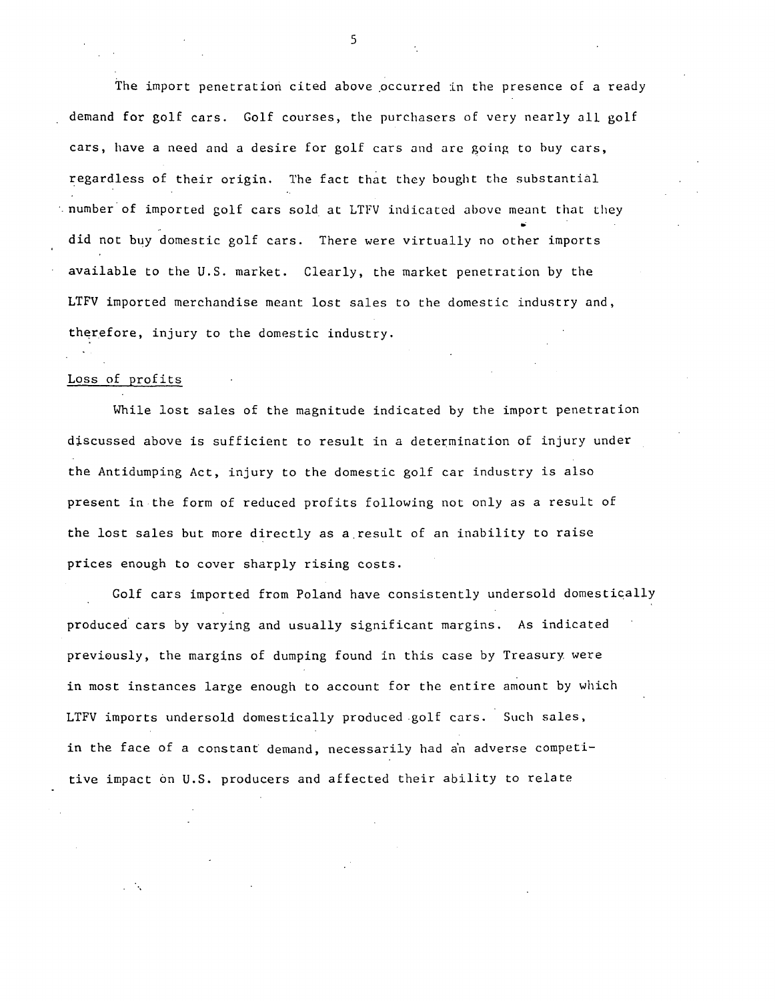The import penetration cited above occurred in the presence of a ready demand for golf cars. Golf courses, the purchasers of very nearly all golf cars, have a need and a desire for golf cars and are going to buy cars, regardless of their origin. The fact that they bought the substantial ·.number· of imported golf cars sold at LTFV indicated above meant that they did not buy domestic golf cars. There were virtually no other imports available to the U.S. market. Clearly, the market penetration by the LTFV imported merchandise meant lost sales to the domestic industry and, therefore, injury to the domestic industry.

# Loss of profits

While lost sales of the magnitude indicated by the import penetration discussed above is sufficient to result in *a* determination of injury under the Antidumping Act, injury to the domestic golf car industry is also present in the form of reduced profits following not only as *a* result of the lost sales but more directly as a.result of an inability to raise prices enough to cover sharply rising costs.

Golf cars imported from Poland have consistently undersold domestically produced cars by varying and usually significant margins. As indicated previously, the margins of dumping found in this case by Treasury were in most instances large enough to account for the entire amount by which LTFV imports undersold domestically produced golf cars. Such sales, in the face of a constant demand, necessarily had a'n adverse competitive impact on U.S. producers and affected their ability to relate

5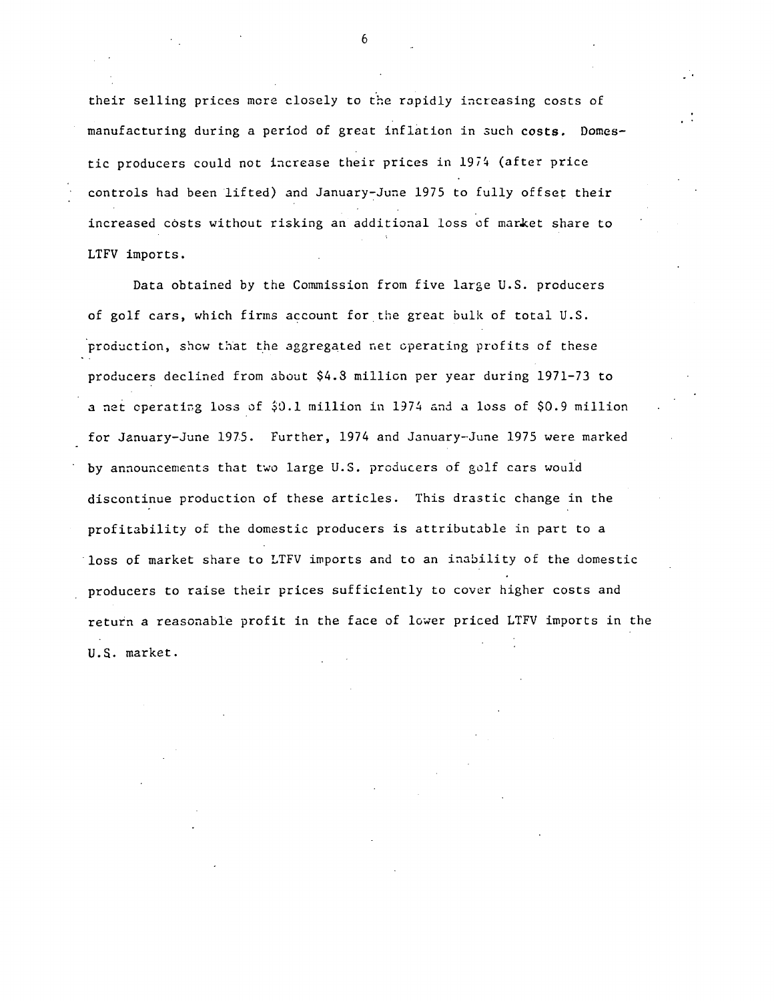their selling prices more closely to the rapidly increasing costs of manufacturing during a period of great inflation in 3uch costs. Domestic producers could not increase their prices in 1974 (after price controls had been lifted) and January-June 1975 to fully offset their increased costs without risking an additional loss of market share to LTFV imports.

Data obtained by the Commission from five large U.S. producers of golf cars, which firms account for the great bulk of total U.S. production, show that the aggregated net operating profits of these producers declined from about \$4.3 million per year during 1971-73 to a net operating loss of  $$0.1$  million in 1974 and a loss of  $$0.9$  million for January-June 1975. Further, 1974 and January-June 1975 were marked by announcements that two large U.S. producers of golf cars would discontinue production of these articles. This drastic change in the profitability of the domestic producers is attributable in part to a loss of market share to LTFV imports and to an inability of the domestic producers to raise their prices sufficiently to cover higher costs and return a reasonable profit in the face of lower priced LTFV imports in the U.S. market.

6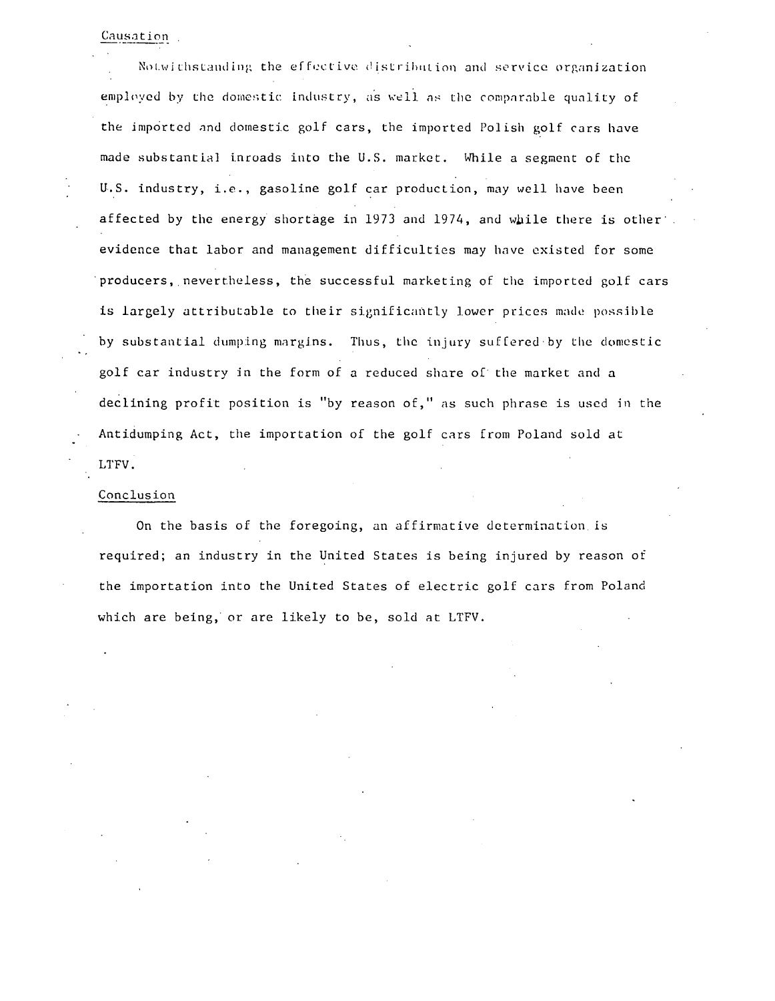#### Causation

Notwithstanding the effective distribution and service organization employed by the domestic industry, as well as the comparable quality of the imported and domestic golf cars, the imported Polish golf cars have made substantial inroads into the U.S. market. While a segment of the U.S. industry, i.e., gasoline golf car production, may well have been affected by the energy shortage in 1973 and 1974, and while there is other. evidence that labor and management difficulties may have existed for some producers, nevertheless, the successful marketing of the imported golf cars is largely attributable to their significantly lower prices made possible by substantial dumping margins. Thus, the injury suffered by the domestic golf car industry jn the form of a reduced share of the market and a declining profit position is "by reason of," as such phrase is used in the Antidumping Act, the importation of the golf cars from Poland sold at LTFV.

#### Conclusion

On the basis of the foregoing, an affirmative determination is required; an industry in the United States is being injured by reason of the importation into the United States of electric golf cars from Poland which are being, or are likely to be, sold at LTFV.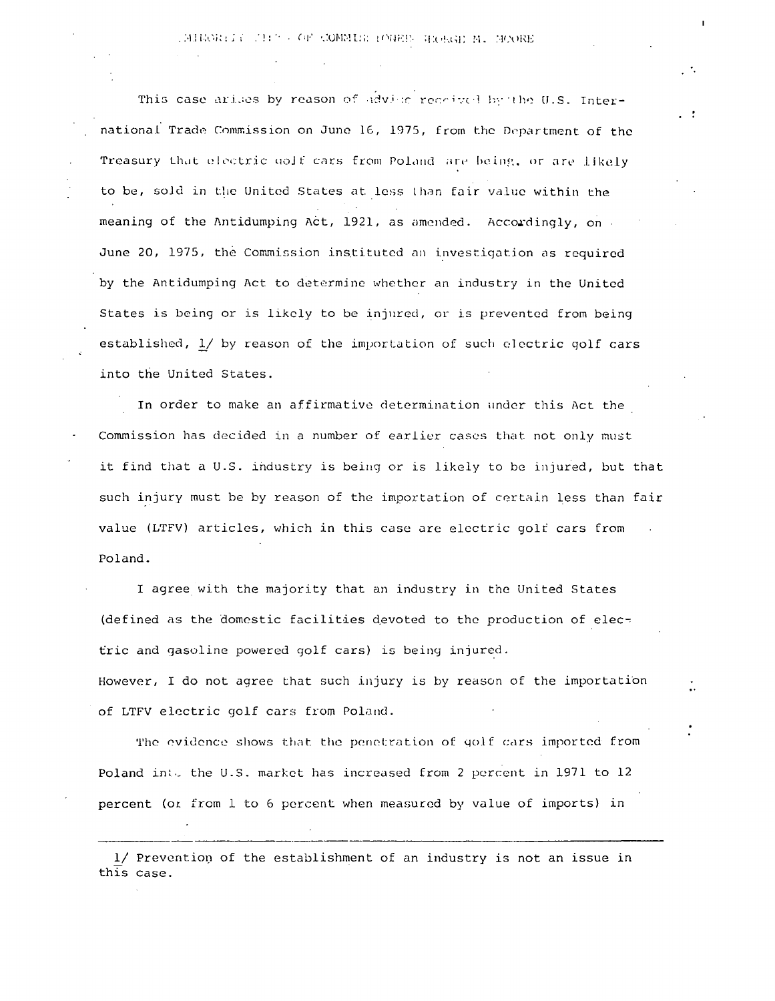## IMINORIAL THIS OF COMMISSIONER ROBGE M. MOORE

 $\cdot$   $\cdot$ 

This case arises by reason of advise received by the U.S. International Trade Commission on June 16, 1975, from the Department of the Treasury that electric golf cars from Poland are being, or are likely to be, sold in the United States at less than fair value within the meaning of the Antidumping Act, 1921, as amended. Accordingly, on June 20, 1975, the Commission instituted an investigation as required by the Antidumping Act to determine whether an industry in the United States is being or is likely to be injured, or is prevented from being established, 1/ by reason of the importation of such electric golf cars into the United States.

In order to make an affirmative determination under this Act the Commission has decided in a number of earlier cases that not only must it find that a U.S. industry is being or is likely to be injured, but that such injury must be by reason of the importation of certain less than fair value (LTFV) articles, which in this case are electric golf cars from Poland.

I agree with the majority that an industry in the United States (defined as the domestic facilities devoted to the production of electric and gasoline powered golf cars) is being injured.

However, I do not agree that such injury is by reason of the importation of LTFV electric golf cars from Poland.

The evidence shows that the penetration of golf cars imported from Poland into the U.S. market has increased from 2 percent in 1971 to 12 percent (or from 1 to 6 percent when measured by value of imports) in

1/ Prevention of the establishment of an industry is not an issue in this case.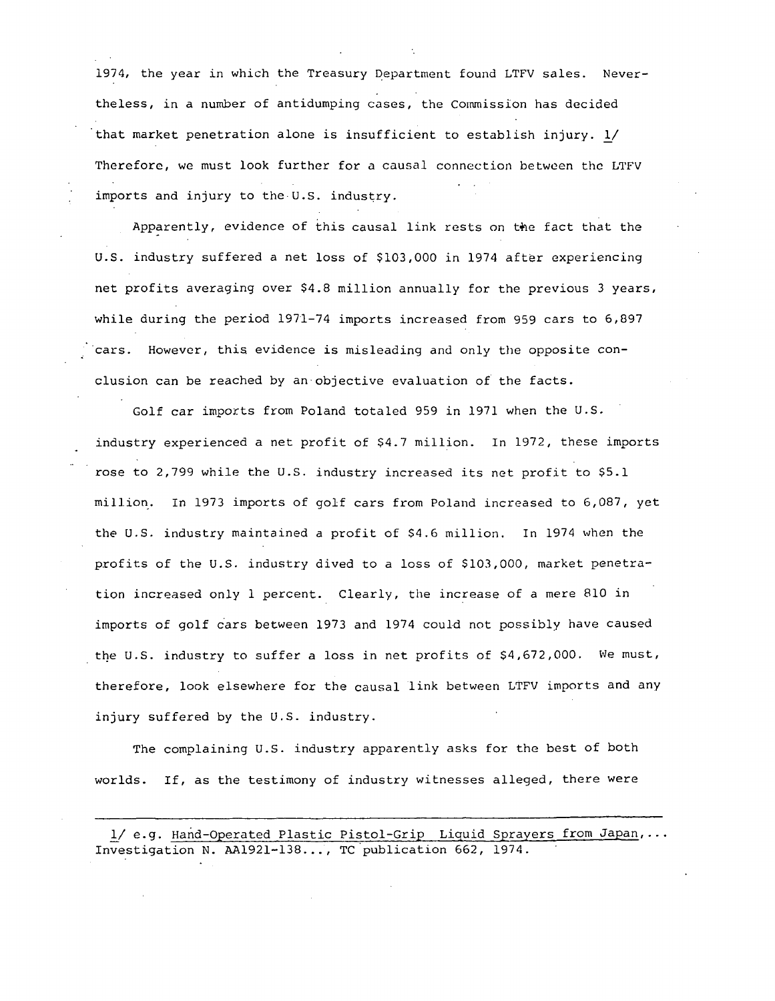1974, the year in which the Treasury Department found LTFV sales. Nevertheless, in a number of antidumping cases, the Commission has decided that market penetration alone is insufficient to establish injury.  $1/$ Therefore, we must look further for a causal connection between the LTFV imports and injury to the U.S. industry.

Apparently, evidence of this causal link rests on the fact that the U.S. industry suffered a net loss of \$103,000 in 1974 after experiencing net profits averaging over \$4.8 million annually for the previous 3 years, while during the period 1971-74 imports increased from 959 cars to 6,897 cars. However, this evidence is misleading and only the opposite conclusion can be reached by an·objective evaluation of the facts.

Golf car imports from Poland totaled 959 in 1971 when the U.S. industry experienced a net profit of \$4.7 million. In 1972, these imports rose to 2,799 while the U.S. industry increased its net profit to \$5.1 million. In 1973 imports of golf cars from Poland increased to 6,087, yet the U.S. industry maintained a profit of \$4.6 million. In 1974 when the profits of the U.S. industry dived to a loss of \$103,000, market penetration increased only 1 percent. Clearly, the increase of a mere 810 in imports of golf 6ars between 1973 and 1974 could not possibly have caused the U.S. industry to suffer a loss in net profits of \$4,672,000. We must, therefore, look elsewhere for the causal link between LTFV imports and any injury suffered by the U.S. industry.

The complaining U.S. industry apparently asks for the best of both worlds. If, as the testimony of industry witnesses alleged, there were

1/ e.g. Hand-Operated Plastic Pistol-Grip Liquid Sprayers from Japan,... Investigation N. AA1921-138..., TC publication 662, 1974.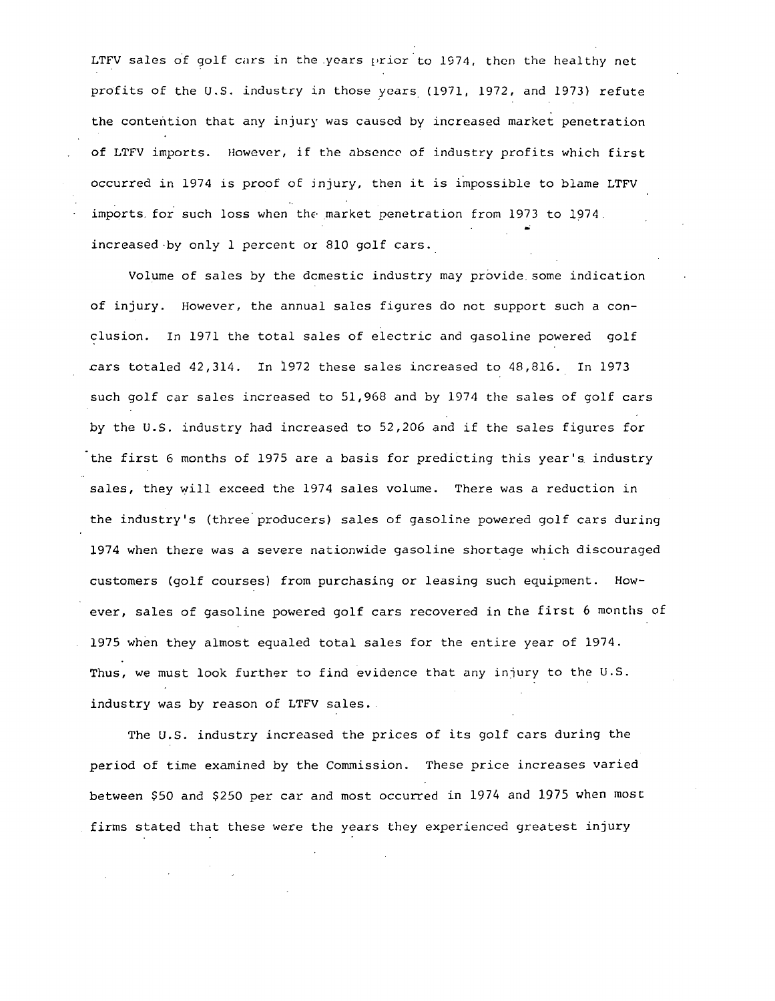LTFV sales of golf cars in the years prior to 1974, then the healthy net profits of the U.S. industry in those years. (1971, 1972, and 1973) refute the contention that any injury was caused by increased market penetration of LTFV imports. However, if the absence of industry profits which first occurred in 1974 is proof of jnjury, then it *is* impossible to blame LTFV imports for such loss when the market penetration from 1973 to 1974. increased by only 1 percent or 810 golf cars.

Volume of sales by the dcmestic industry may provide. some indication of injury. However, the annual sales figures do not support such a conclusion. In 1971 the total sales of electric and gasoline powered golf cars totaled 42,314. In 1972 these sales increased to 48,816. In 1973 such golf car sales increased to 51,968 and by 1974 the sales of golf cars by the U.S. industry had increased to 52,206 and if the sales figures for the first 6 months of 1975 are a basis for predicting this year's industry sales, they will exceed the 1974 sales volume. There was a reduction in the industry's (three producers) sales of gasoline powered golf cars during 1974 when there was a severe nationwide gasoline shortage which discouraged customers (golf courses) from purchasing or leasing such equipment. However, sales of gasoline powered golf cars recovered in the first 6 months of 1975 when they almost equaled total sales for the entire year of 1974. Thus, we must look further to find evidence that any injury to the U.S. industry was by reason of LTFV sales.

The U.S. industry increased the prices of its golf cars during the period of time examined by the Commission. These price increases varied between \$50 and \$250 per car and most occurred in 1974 and 1975 when most firms stated that these were the years they experienced greatest injury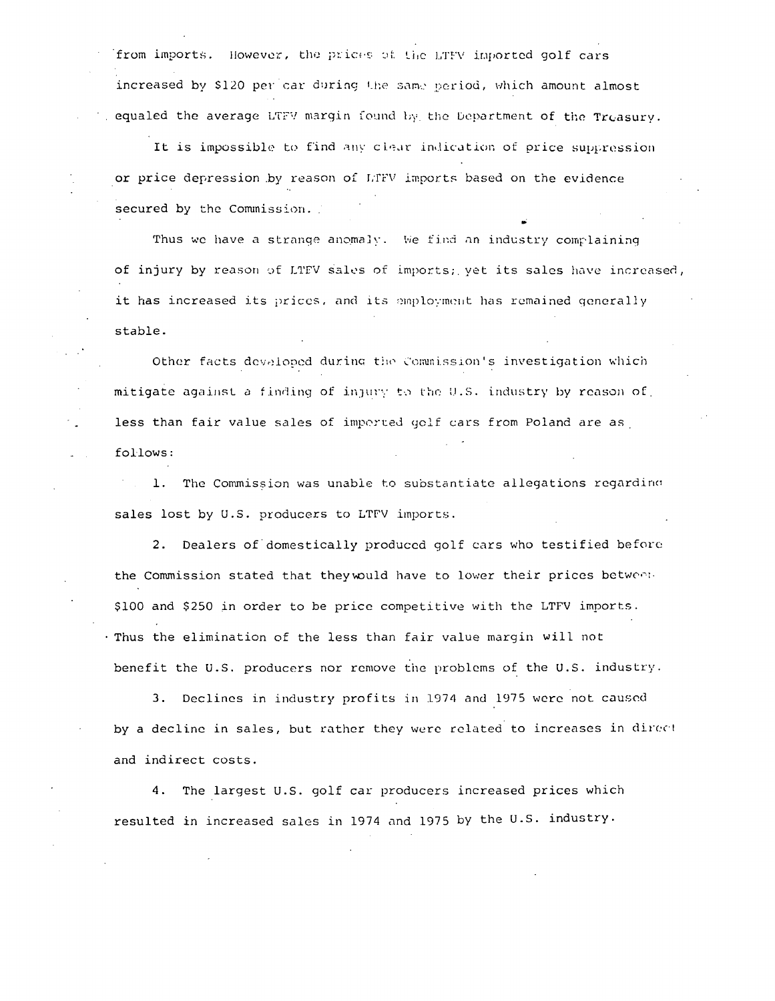from imports. However, the prices of the LTFV imported golf cars increased by \$120 per car during the same period, which amount almost equaled the average LTFV margin found by the Department of the Treasurv.

It is impossible to find any clear indication of price suppression or price depression by reason of LTFV imports based on the evidence secured by the Commission.

Thus we have a strange anomaly. We find an industry complaining of injury by reason of LTEV sales of imports; yet its sales have increased, it has increased its prices, and its employment has remained generally stable.

Other facts developed during the Commission's investigation which mitigate against a finding of injury to the U.S. industry by reason of less than fair value sales of imperted golf cars from Poland are as follows:

1. The Commission was unable to substantiate allegations regarding sales lost by U.S. producers to LTFV imports.

2. Dealers of domestically produced golf cars who testified before the Commission stated that they would have to lower their prices between. \$100 and \$250 in order to be price competitive with the LTFV imports. . Thus the elimination of the less than fair value margin will not benefit the U.S. producers nor remove the problems of the U.S. industry.

3. Declines in industry profits in 1974 and 1975 were not caused by a decline in sales, but rather they were related to increases in direct and indirect costs.

4. The largest U.S. golf car producers increased prices which resulted in increased sales in 1974 and 1975 by the U.S. industry.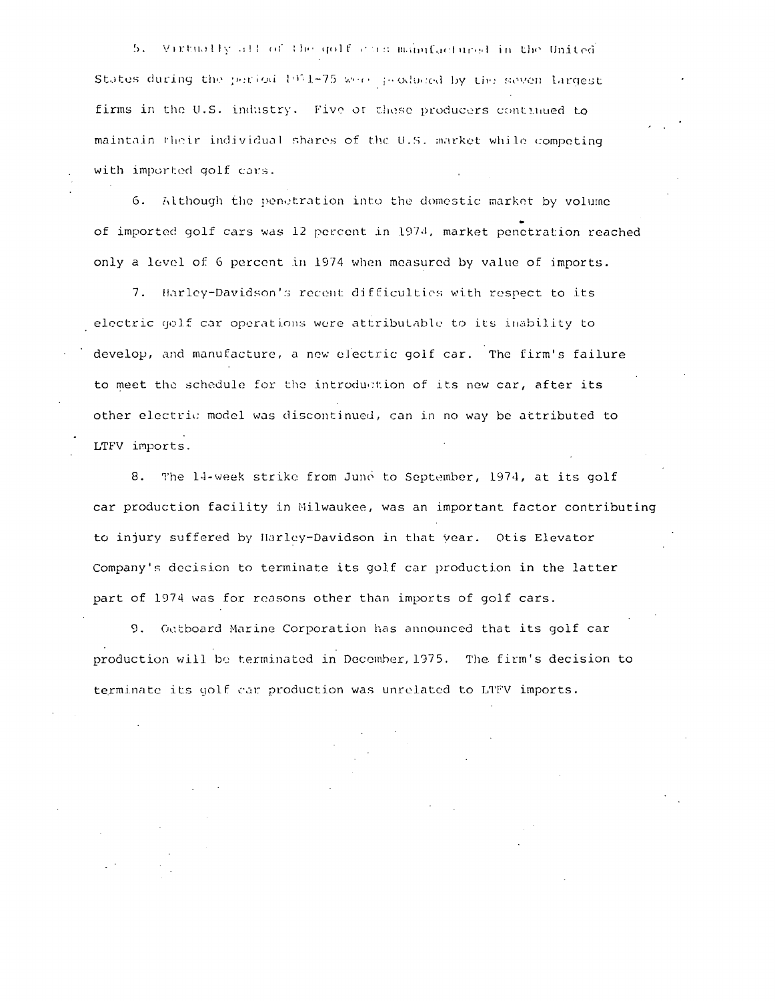5. Virtually all of the golf can manufactured in the United States during the period 1971-75 week peodoced by the seven largest firms in the U.S. industry. Five of these producers continued to maintain their individual shares of the U.S. market while competing with imported golf cars.

6. Although the penetration into the domestic market by volume of imported golf cars was 12 percent in 1974, market penetration reached only a level of 6 percent in 1974 when measured by value of imports.

7. Harley-Davidson's recent difficulties with respect to its electric golf car operations were attributable to its inability to develop, and manufacture, a new electric golf car. The firm's failure to meet the schedule for the introduction of its new car, after its other electric model was discontinued, can in no way be attributed to LTFV imports.

8. The 14-week strike from June to September, 1974, at its golf car production facility in Milwaukee, was an important factor contributing to injury suffered by Harley-Davidson in that year. Otis Elevator Company's decision to terminate its golf car production in the latter part of 1974 was for reasons other than imports of golf cars.

9. Outboard Marine Corporation has announced that its golf car production will be terminated in December, 1975. The firm's decision to terminate its golf car production was unrelated to LTFV imports.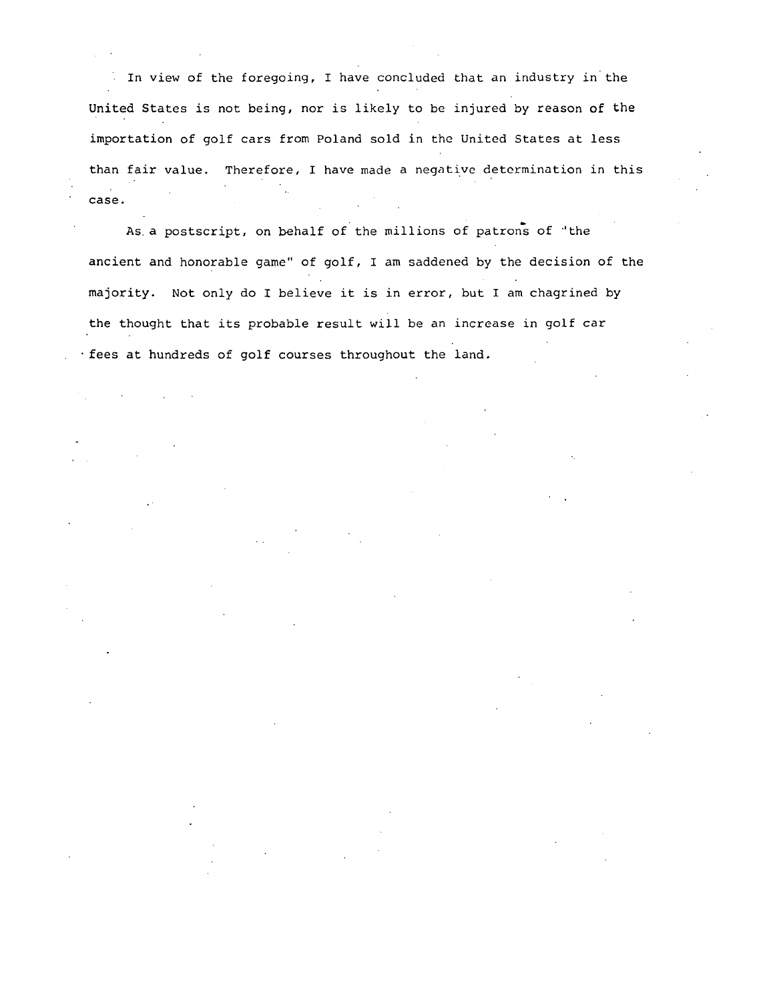In view of the foregoing, I have concluded that an industry in the United States is not being, nor is likely to be injured by reason of the importation of golf cars from Poland sold in the United States at less than fair value. Therefore, I have made a negative determination in this case.

As a postscript, on behalf of the millions of patrons of "the ancient and honorable game'' of golf, I am saddened by the decision of the majority. Not only do I believe it is in error, but I am chagrined by the thought that its probable result will be an increase in golf car ·fees at hundreds of golf courses throughout the land.